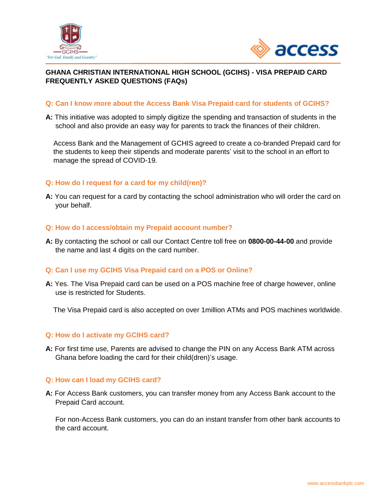



## **GHANA CHRISTIAN INTERNATIONAL HIGH SCHOOL (GCIHS) - VISA PREPAID CARD FREQUENTLY ASKED QUESTIONS (FAQs)**

## **Q: Can I know more about the Access Bank Visa Prepaid card for students of GCIHS?**

**A:** This initiative was adopted to simply digitize the spending and transaction of students in the school and also provide an easy way for parents to track the finances of their children.

 Access Bank and the Management of GCHIS agreed to create a co-branded Prepaid card for the students to keep their stipends and moderate parents' visit to the school in an effort to manage the spread of COVID-19.

## **Q: How do I request for a card for my child(ren)?**

**A:** You can request for a card by contacting the school administration who will order the card on your behalf.

#### **Q: How do I access/obtain my Prepaid account number?**

**A:** By contacting the school or call our Contact Centre toll free on **0800-00-44-00** and provide the name and last 4 digits on the card number.

#### **Q: Can I use my GCIHS Visa Prepaid card on a POS or Online?**

**A:** Yes. The Visa Prepaid card can be used on a POS machine free of charge however, online use is restricted for Students.

The Visa Prepaid card is also accepted on over 1million ATMs and POS machines worldwide.

#### **Q: How do I activate my GCIHS card?**

**A:** For first time use, Parents are advised to change the PIN on any Access Bank ATM across Ghana before loading the card for their child(dren)'s usage.

#### **Q: How can I load my GCIHS card?**

**A:** For Access Bank customers, you can transfer money from any Access Bank account to the Prepaid Card account.

 For non-Access Bank customers, you can do an instant transfer from other bank accounts to the card account.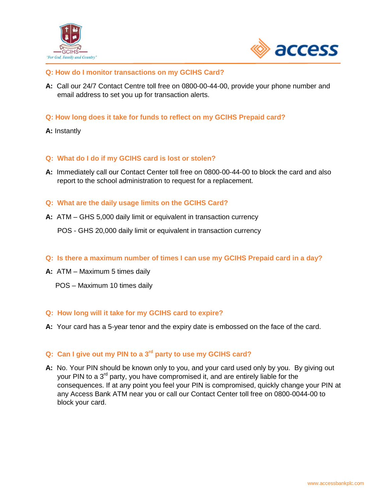



## **Q: How do I monitor transactions on my GCIHS Card?**

- **A:** Call our 24/7 Contact Centre toll free on 0800-00-44-00, provide your phone number and email address to set you up for transaction alerts.
- **Q: How long does it take for funds to reflect on my GCIHS Prepaid card?**

## **A:** Instantly

## **Q: What do I do if my GCIHS card is lost or stolen?**

**A:** Immediately call our Contact Center toll free on 0800-00-44-00 to block the card and also report to the school administration to request for a replacement.

#### **Q: What are the daily usage limits on the GCIHS Card?**

**A:** ATM – GHS 5,000 daily limit or equivalent in transaction currency

POS - GHS 20,000 daily limit or equivalent in transaction currency

- **Q: Is there a maximum number of times I can use my GCIHS Prepaid card in a day?**
- **A:** ATM Maximum 5 times daily
	- POS Maximum 10 times daily

#### **Q: How long will it take for my GCIHS card to expire?**

**A:** Your card has a 5-year tenor and the expiry date is embossed on the face of the card.

# **Q: Can I give out my PIN to a 3rd party to use my GCIHS card?**

**A:** No. Your PIN should be known only to you, and your card used only by you. By giving out your PIN to a 3<sup>rd</sup> party, you have compromised it, and are entirely liable for the consequences. If at any point you feel your PIN is compromised, quickly change your PIN at any Access Bank ATM near you or call our Contact Center toll free on 0800-0044-00 to block your card.